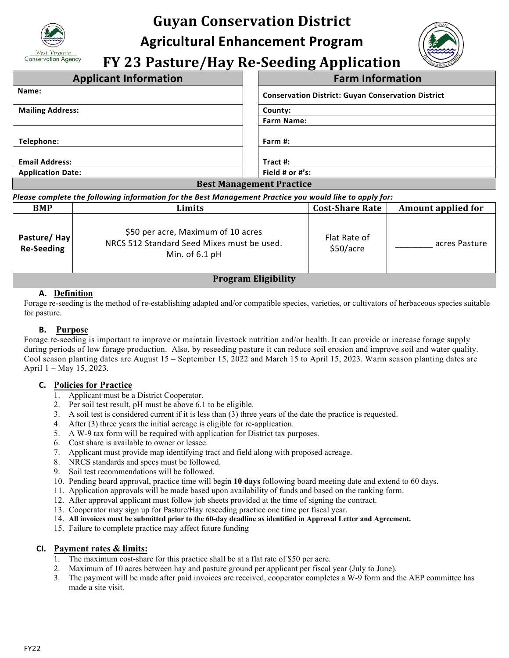

# **Guyan Conservation District Agricultural Enhancement Program**

**FY 23 Pasture/Hay Re-Seeding Application** 

| <b>Applicant Information</b>    | <b>Farm Information</b>                                   |  |  |
|---------------------------------|-----------------------------------------------------------|--|--|
| Name:                           | <b>Conservation District: Guyan Conservation District</b> |  |  |
| <b>Mailing Address:</b>         | County:                                                   |  |  |
|                                 | <b>Farm Name:</b>                                         |  |  |
|                                 |                                                           |  |  |
| Telephone:                      | Farm $#$ :                                                |  |  |
|                                 |                                                           |  |  |
| <b>Email Address:</b>           | Tract #:                                                  |  |  |
| <b>Application Date:</b>        | Field # or #'s:                                           |  |  |
| <b>Best Management Practice</b> |                                                           |  |  |

#### *Please complete the following information for the Best Management Practice you would like to apply for:*

| <b>BMP</b>                                                                                                                                                                                                                                                                                                                         | Limits                                                                                               | <b>Cost-Share Rate</b>    | Amount applied for |  |  |
|------------------------------------------------------------------------------------------------------------------------------------------------------------------------------------------------------------------------------------------------------------------------------------------------------------------------------------|------------------------------------------------------------------------------------------------------|---------------------------|--------------------|--|--|
| Pasture/Hay<br><b>Re-Seeding</b>                                                                                                                                                                                                                                                                                                   | \$50 per acre, Maximum of 10 acres<br>NRCS 512 Standard Seed Mixes must be used.<br>Min. of $6.1$ pH | Flat Rate of<br>\$50/acre | acres Pasture      |  |  |
| $\mathbf{r}$ $\mathbf{r}$ $\mathbf{r}$ $\mathbf{r}$ $\mathbf{r}$ $\mathbf{r}$ $\mathbf{r}$ $\mathbf{r}$ $\mathbf{r}$ $\mathbf{r}$ $\mathbf{r}$ $\mathbf{r}$ $\mathbf{r}$ $\mathbf{r}$ $\mathbf{r}$ $\mathbf{r}$ $\mathbf{r}$ $\mathbf{r}$ $\mathbf{r}$ $\mathbf{r}$ $\mathbf{r}$ $\mathbf{r}$ $\mathbf{r}$ $\mathbf{r}$ $\mathbf{$ |                                                                                                      |                           |                    |  |  |

# **Program Eligibility**

## **A. Definition**

Forage re-seeding is the method of re-establishing adapted and/or compatible species, varieties, or cultivators of herbaceous species suitable for pasture.

### **B. Purpose**

Forage re-seeding is important to improve or maintain livestock nutrition and/or health. It can provide or increase forage supply during periods of low forage production. Also, by reseeding pasture it can reduce soil erosion and improve soil and water quality. Cool season planting dates are August 15 – September 15, 2022 and March 15 to April 15, 2023. Warm season planting dates are April 1 – May 15, 2023.

### **C. Policies for Practice**

- 1. Applicant must be a District Cooperator.
- 2. Per soil test result, pH must be above 6.1 to be eligible.
- 3. A soil test is considered current if it is less than (3) three years of the date the practice is requested.
- 4. After (3) three years the initial acreage is eligible for re-application.
- 5. A W-9 tax form will be required with application for District tax purposes.
- 6. Cost share is available to owner or lessee.
- 7. Applicant must provide map identifying tract and field along with proposed acreage.
- 8. NRCS standards and specs must be followed.
- 9. Soil test recommendations will be followed.
- 10. Pending board approval, practice time will begin **10 days** following board meeting date and extend to 60 days.
- 11. Application approvals will be made based upon availability of funds and based on the ranking form.
- 12. After approval applicant must follow job sheets provided at the time of signing the contract.
- 13. Cooperator may sign up for Pasture/Hay reseeding practice one time per fiscal year.
- 14. **All invoices must be submitted prior to the 60-day deadline as identified in Approval Letter and Agreement.**
- 15. Failure to complete practice may affect future funding

### **CI. Payment rates & limits:**

- 1. The maximum cost-share for this practice shall be at a flat rate of \$50 per acre.
- 2. Maximum of 10 acres between hay and pasture ground per applicant per fiscal year (July to June).
- 3. The payment will be made after paid invoices are received, cooperator completes a W-9 form and the AEP committee has made a site visit.